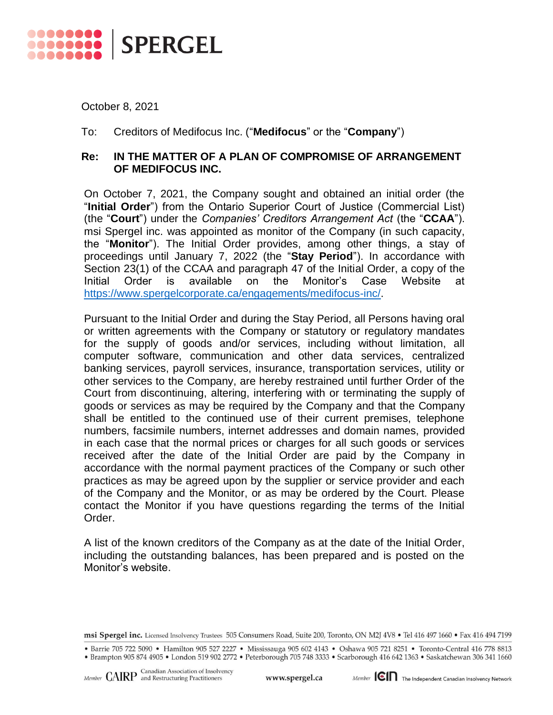

October 8, 2021

## To: Creditors of Medifocus Inc. ("**Medifocus**" or the "**Company**")

## **Re: IN THE MATTER OF A PLAN OF COMPROMISE OF ARRANGEMENT OF MEDIFOCUS INC.**

On October 7, 2021, the Company sought and obtained an initial order (the "**Initial Order**") from the Ontario Superior Court of Justice (Commercial List) (the "**Court**") under the *Companies' Creditors Arrangement Act* (the "**CCAA**"). msi Spergel inc. was appointed as monitor of the Company (in such capacity, the "**Monitor**"). The Initial Order provides, among other things, a stay of proceedings until January 7, 2022 (the "**Stay Period**"). In accordance with Section 23(1) of the CCAA and paragraph 47 of the Initial Order, a copy of the Initial Order is available on the Monitor's Case Website at [https://www.spergelcorporate.ca/engagements/medifocus-inc/.](https://www.spergelcorporate.ca/engagements/medifocus-inc/)

Pursuant to the Initial Order and during the Stay Period, all Persons having oral or written agreements with the Company or statutory or regulatory mandates for the supply of goods and/or services, including without limitation, all computer software, communication and other data services, centralized banking services, payroll services, insurance, transportation services, utility or other services to the Company, are hereby restrained until further Order of the Court from discontinuing, altering, interfering with or terminating the supply of goods or services as may be required by the Company and that the Company shall be entitled to the continued use of their current premises, telephone numbers, facsimile numbers, internet addresses and domain names, provided in each case that the normal prices or charges for all such goods or services received after the date of the Initial Order are paid by the Company in accordance with the normal payment practices of the Company or such other practices as may be agreed upon by the supplier or service provider and each of the Company and the Monitor, or as may be ordered by the Court. Please contact the Monitor if you have questions regarding the terms of the Initial Order.

A list of the known creditors of the Company as at the date of the Initial Order, including the outstanding balances, has been prepared and is posted on the Monitor's website.

msi Spergel inc. Licensed Insolvency Trustees 505 Consumers Road, Suite 200, Toronto, ON M2J 4V8 . Tel 416 497 1660 . Fax 416 494 7199

<sup>•</sup> Barrie 705 722 5090 • Hamilton 905 527 2227 • Mississauga 905 602 4143 • Oshawa 905 721 8251 • Toronto-Central 416 778 8813 · Brampton 905 874 4905 · London 519 902 2772 · Peterborough 705 748 3333 · Scarborough 416 642 1363 · Saskatchewan 306 341 1660